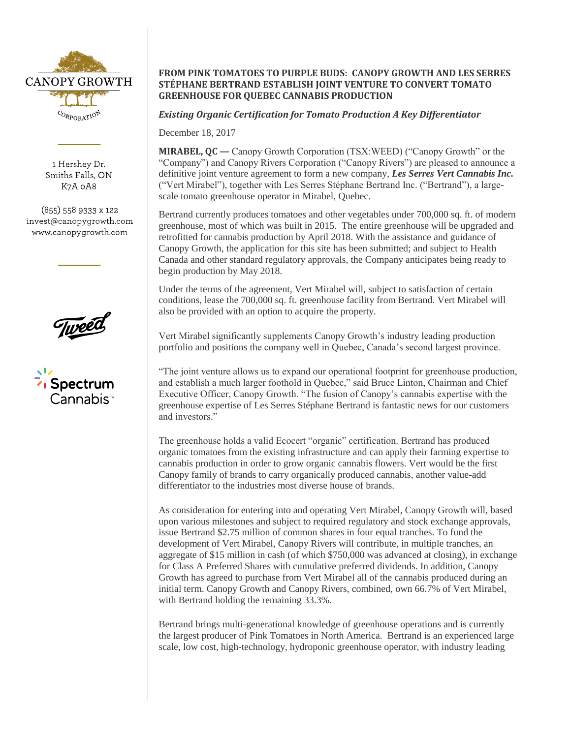

1 Hershey Dr. Smiths Falls, ON K7A 0A8

 $(855)$  558 9333 x 122 invest@canopygrowth.com www.canopygrowth.com



## **FROM PINK TOMATOES TO PURPLE BUDS: CANOPY GROWTH AND LES SERRES STÉPHANE BERTRAND ESTABLISH JOINT VENTURE TO CONVERT TOMATO GREENHOUSE FOR QUEBEC CANNABIS PRODUCTION**

## *Existing Organic Certification for Tomato Production A Key Differentiator*

December 18, 2017

**MIRABEL, QC —** Canopy Growth Corporation (TSX:WEED) ("Canopy Growth" or the "Company") and Canopy Rivers Corporation ("Canopy Rivers") are pleased to announce a definitive joint venture agreement to form a new company, *Les Serres Vert Cannabis Inc.*  ("Vert Mirabel"), together with Les Serres Stéphane Bertrand Inc. ("Bertrand"), a largescale tomato greenhouse operator in Mirabel, Quebec.

Bertrand currently produces tomatoes and other vegetables under 700,000 sq. ft. of modern greenhouse, most of which was built in 2015. The entire greenhouse will be upgraded and retrofitted for cannabis production by April 2018. With the assistance and guidance of Canopy Growth, the application for this site has been submitted; and subject to Health Canada and other standard regulatory approvals, the Company anticipates being ready to begin production by May 2018.

Under the terms of the agreement, Vert Mirabel will, subject to satisfaction of certain conditions, lease the 700,000 sq. ft. greenhouse facility from Bertrand. Vert Mirabel will also be provided with an option to acquire the property.

Vert Mirabel significantly supplements Canopy Growth's industry leading production portfolio and positions the company well in Quebec, Canada's second largest province.

"The joint venture allows us to expand our operational footprint for greenhouse production, and establish a much larger foothold in Quebec," said Bruce Linton, Chairman and Chief Executive Officer, Canopy Growth. "The fusion of Canopy's cannabis expertise with the greenhouse expertise of Les Serres Stéphane Bertrand is fantastic news for our customers and investors."

The greenhouse holds a valid Ecocert "organic" certification. Bertrand has produced organic tomatoes from the existing infrastructure and can apply their farming expertise to cannabis production in order to grow organic cannabis flowers. Vert would be the first Canopy family of brands to carry organically produced cannabis, another value-add differentiator to the industries most diverse house of brands.

As consideration for entering into and operating Vert Mirabel, Canopy Growth will, based upon various milestones and subject to required regulatory and stock exchange approvals, issue Bertrand \$2.75 million of common shares in four equal tranches. To fund the development of Vert Mirabel, Canopy Rivers will contribute, in multiple tranches, an aggregate of \$15 million in cash (of which \$750,000 was advanced at closing), in exchange for Class A Preferred Shares with cumulative preferred dividends. In addition, Canopy Growth has agreed to purchase from Vert Mirabel all of the cannabis produced during an initial term. Canopy Growth and Canopy Rivers, combined, own 66.7% of Vert Mirabel, with Bertrand holding the remaining 33.3%.

Bertrand brings multi-generational knowledge of greenhouse operations and is currently the largest producer of Pink Tomatoes in North America. Bertrand is an experienced large scale, low cost, high-technology, hydroponic greenhouse operator, with industry leading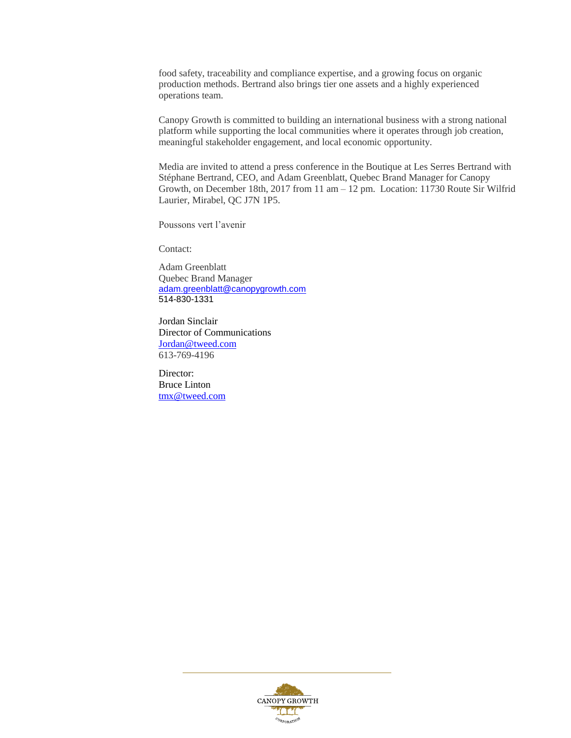food safety, traceability and compliance expertise, and a growing focus on organic production methods. Bertrand also brings tier one assets and a highly experienced operations team.

Canopy Growth is committed to building an international business with a strong national platform while supporting the local communities where it operates through job creation, meaningful stakeholder engagement, and local economic opportunity.

Media are invited to attend a press conference in the Boutique at Les Serres Bertrand with Stéphane Bertrand, CEO, and Adam Greenblatt, Quebec Brand Manager for Canopy Growth, on December 18th, 2017 from 11 am – 12 pm. Location: 11730 Route Sir Wilfrid Laurier, Mirabel, QC J7N 1P5.

Poussons vert l'avenir

Contact:

Adam Greenblatt Quebec Brand Manager [adam.greenblatt@canopygrowth.com](mailto:adam.greenblatt@canopygrowth.com) 514-830-1331

Jordan Sinclair Director of Communications [Jordan@tweed.com](mailto:Jordan@tweed.com) 613-769-4196

Director: Bruce Linton [tmx@tweed.com](mailto:tmx@tweed.com)